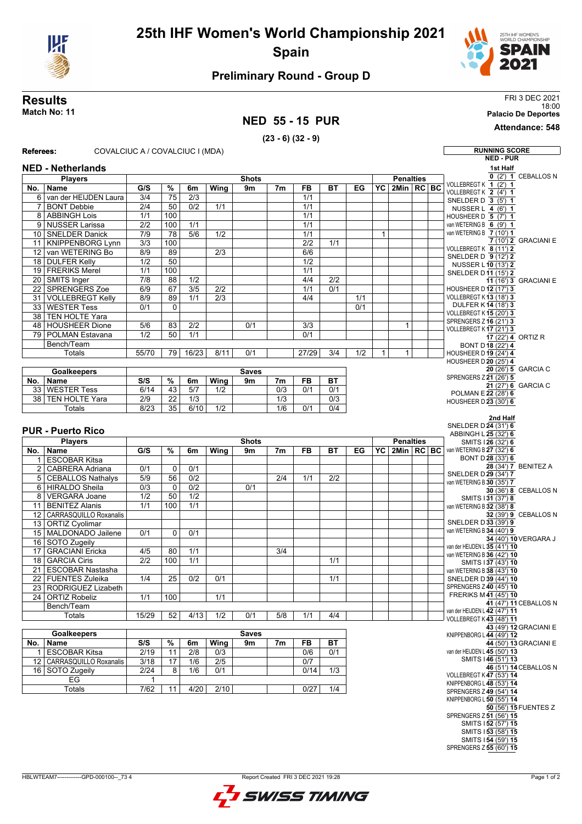

# **25th IHF Women's World Championship 2021 Spain**



## **Preliminary Round - Group D**

#### **Results** FRI 3 DEC 2021 18:00 **Match No: 11 Palacio De Deportes**

## **NED 55 - 15 PUR**

### **(23 - 6) (32 - 9)**

**Attendance: 548**

| Referees:      | COVALCIUC A / COVALCIUC I (MDA)             |                                      |                 |                  |                  |              |                  |                         |                  |     |              |                  |  | <b>RUNNING SCORE</b>                                             |
|----------------|---------------------------------------------|--------------------------------------|-----------------|------------------|------------------|--------------|------------------|-------------------------|------------------|-----|--------------|------------------|--|------------------------------------------------------------------|
|                |                                             |                                      |                 |                  |                  |              |                  |                         |                  |     |              |                  |  | <b>NED - PUR</b>                                                 |
|                | <b>NED - Netherlands</b>                    |                                      |                 |                  |                  |              |                  |                         |                  |     |              |                  |  | 1st Half                                                         |
|                | <b>Players</b>                              |                                      |                 |                  |                  | <b>Shots</b> |                  |                         |                  |     |              | <b>Penalties</b> |  | $0$ (2') 1 CEBALLOS N<br>VOLLEBREGT K 1 (2') 1                   |
| No.            | Name                                        | G/S                                  | $\%$            | 6m               | Wing             | 9m           | 7 <sub>m</sub>   | FB                      | <b>BT</b>        | EG  | YC           | 2Min   RC   BC   |  | VOLLEBREGT K 2 (4') 1                                            |
|                | 6 van der HEIJDEN Laura                     | 3/4                                  | 75              | 2/3              |                  |              |                  | 1/1                     |                  |     |              |                  |  | SNELDER D 3 (5') 1                                               |
| 7              | <b>BONT Debbie</b>                          | 2/4                                  | 50              | 0/2              | 1/1              |              |                  | $\overline{1/1}$        |                  |     |              |                  |  | NUSSER L 4 (6') 1                                                |
|                | 8 ABBINGH Lois                              | 1/1                                  | 100             |                  |                  |              |                  | 1/1                     |                  |     |              |                  |  | HOUSHEER D 5 (7') 1                                              |
|                | 9 NUSSER Larissa                            | 2/2                                  | 100             | 1/1              |                  |              |                  | 1/1                     |                  |     |              |                  |  | van WETERING B $\overline{6}$ (9') 1<br>van WETERING B 7 (10') 1 |
|                | 10 SNELDER Danick                           | $\overline{7/9}$<br>$\overline{3/3}$ | 78<br>100       | 5/6              | 1/2              |              |                  | 1/1<br>$\overline{2/2}$ | $\overline{1/1}$ |     | $\mathbf{1}$ |                  |  | 7 (10') 2 GRACIANI E                                             |
|                | 11   KNIPPENBORG Lynn<br>12 van WETERING Bo | 8/9                                  | 89              |                  | 2/3              |              |                  | 6/6                     |                  |     |              |                  |  | VOLLEBREGT K 8 (11') 2                                           |
|                | 18 DULFER Kelly                             | $\overline{1/2}$                     | $\overline{50}$ |                  |                  |              |                  | $\overline{1/2}$        |                  |     |              |                  |  | SNELDER D 9 (12') 2                                              |
|                | 19 FRERIKS Merel                            | 1/1                                  | 100             |                  |                  |              |                  | 1/1                     |                  |     |              |                  |  | NUSSER L 10 (13') 2                                              |
|                | 20 SMITS Inger                              | $\overline{7/8}$                     | 88              | $\overline{1/2}$ |                  |              |                  | 4/4                     | $\overline{2/2}$ |     |              |                  |  | SNELDER D11 (15') 2<br>11 (16') 3 GRACIANI E                     |
|                | 22 SPRENGERS Zoe                            | 6/9                                  | $\overline{67}$ | 3/5              | $\overline{2/2}$ |              |                  | $\overline{1/1}$        | 0/1              |     |              |                  |  | <b>HOUSHEER D 12 (17') 3</b>                                     |
| 31             | <b>VOLLEBREGT Kelly</b>                     | 8/9                                  | 89              | 1/1              | $\overline{2/3}$ |              |                  | 4/4                     |                  | 1/1 |              |                  |  | VOLLEBREGT K13 (18') 3                                           |
|                | 33 WESTER Tess                              | 0/1                                  | $\Omega$        |                  |                  |              |                  |                         |                  | 0/1 |              |                  |  | DULFER K14 (18') 3                                               |
|                | 38 TEN HOLTE Yara                           |                                      |                 |                  |                  |              |                  |                         |                  |     |              |                  |  | VOLLEBREGT K 15 (20') 3                                          |
|                | 48 HOUSHEER Dione                           | 5/6                                  | 83              | 2/2              |                  | 0/1          |                  | 3/3                     |                  |     |              | $\mathbf{1}$     |  | SPRENGERS Z16 (21') 3                                            |
|                | 79 POLMAN Estavana                          | 1/2                                  | 50              | 1/1              |                  |              |                  | 0/1                     |                  |     |              |                  |  | VOLLEBREGT K17 (21') 3<br>17 (22') 4 ORTIZ R                     |
|                | Bench/Team                                  |                                      |                 |                  |                  |              |                  |                         |                  |     |              |                  |  | BONT D18 (22') 4                                                 |
|                | <b>Totals</b>                               | 55/70                                | 79              | 16/23            | 8/11             | 0/1          |                  | 27/29                   | 3/4              | 1/2 | $\mathbf{1}$ | $\mathbf{1}$     |  | <b>HOUSHEER D 19 (24') 4</b>                                     |
|                |                                             |                                      |                 |                  |                  |              |                  |                         |                  |     |              |                  |  | HOUSHEER D 20 (25') 4                                            |
|                | Goalkeepers                                 | <b>Saves</b>                         |                 |                  |                  |              |                  |                         |                  |     |              |                  |  | 20 (26') 5 GARCIA C                                              |
| No.            | Name                                        | S/S                                  | $\%$            | 6m               | Wing             | 9m           | 7m               | FB                      | <b>BT</b>        |     |              |                  |  | SPRENGERS Z 21 (26') 5<br>21 (27') 6 GARCIA C                    |
|                | 33 WESTER Tess                              | 6/14                                 | $\overline{43}$ | 5/7              | 1/2              |              | $\overline{0/3}$ | 0/1                     | 0/1              |     |              |                  |  | POLMAN E 22 (28') 6                                              |
|                | 38 TEN HOLTE Yara                           | 2/9                                  | 22              | $\overline{1/3}$ |                  |              | $\overline{1/3}$ |                         | 0/3              |     |              |                  |  | HOUSHEER D 23 (30') 6                                            |
|                | Totals                                      | 8/23                                 | 35              | 6/10             | 1/2              |              | 1/6              | 0/1                     | 0/4              |     |              |                  |  |                                                                  |
|                |                                             |                                      |                 |                  |                  |              |                  |                         |                  |     |              |                  |  | 2nd Half                                                         |
|                | <b>PUR - Puerto Rico</b>                    |                                      |                 |                  |                  |              |                  |                         |                  |     |              |                  |  | SNELDER D 24 (31') 6                                             |
|                | <b>Players</b>                              |                                      |                 |                  |                  | <b>Shots</b> |                  |                         |                  |     |              | <b>Penalties</b> |  | ABBINGH L 25 (32') 6<br>SMITS 126 (32') 6                        |
| No.            | Name                                        | G/S                                  | $\frac{9}{6}$   | 6m               | Wing             | 9m           | 7 <sub>m</sub>   | FB                      | ВT               | EG  | YC           | 2Min   RC   BC   |  | van WETERING B 27 (32') 6                                        |
|                | 1 ESCOBAR Kitsa                             |                                      |                 |                  |                  |              |                  |                         |                  |     |              |                  |  | BONT D 28 (33') 6                                                |
|                | 2 CABRERA Adriana                           | 0/1                                  | $\mathbf 0$     | 0/1              |                  |              |                  |                         |                  |     |              |                  |  | 28 (34') 7 BENITEZ A                                             |
|                | 5 CEBALLOS Nathalys                         | $\overline{5/9}$                     | 56              | 0/2              |                  |              | 2/4              | 1/1                     | 2/2              |     |              |                  |  | SNELDER D 29 (34') 7                                             |
|                | 6 HIRALDO Sheila                            | 0/3                                  | $\mathbf 0$     | 0/2              |                  | 0/1          |                  |                         |                  |     |              |                  |  | van WETERING B 30 (35') 7<br>30 (36') 8 CEBALLOS N               |
| 8 <sup>1</sup> | <b>VERGARA Joane</b>                        | 1/2                                  | 50              | 1/2              |                  |              |                  |                         |                  |     |              |                  |  | SMITS 131 (37') 8                                                |
|                | 11 BENITEZ Alanis                           | 1/1                                  | 100             | 1/1              |                  |              |                  |                         |                  |     |              |                  |  | van WETERING B 32 (38') 8                                        |
|                | 12   CARRASQUILLO Roxanalis                 |                                      |                 |                  |                  |              |                  |                         |                  |     |              |                  |  | 32 (39') 9 CEBALLOS N                                            |
|                | 13 ORTIZ Cyolimar                           |                                      |                 |                  |                  |              |                  |                         |                  |     |              |                  |  | SNELDER D33 (39') 9                                              |
|                | 15   MALDONADO Jailene                      | 0/1                                  | $\mathbf 0$     | 0/1              |                  |              |                  |                         |                  |     |              |                  |  | van WETERING B 34 (40') 9<br>34 (40') 10 VERGARA J               |
|                | 16 SOTO Zugeily                             |                                      |                 |                  |                  |              |                  |                         |                  |     |              |                  |  | van der HEIJDEN L 35 (41') 10                                    |
| 17             | <b>GRACIANI</b> Ericka                      | 4/5                                  | 80              | 1/1              |                  |              | 3/4              |                         |                  |     |              |                  |  | van WETERING B 36 (42') 10                                       |
|                | 18 GARCIA Ciris                             | 2/2                                  | 100             | 1/1              |                  |              |                  |                         | 1/1              |     |              |                  |  | SMITS 137 (43') 10                                               |
|                | 21 ESCOBAR Nastasha                         |                                      |                 |                  |                  |              |                  |                         |                  |     |              |                  |  | van WETERING B 38 (43') 10                                       |
|                | 22 FUENTES Zuleika                          | 1/4                                  | 25              | 0/2              | 0/1              |              |                  |                         | 1/1              |     |              |                  |  | SNELDER D 39 (44') 10                                            |
|                | 23   RODRIGUEZ Lizabeth                     |                                      |                 |                  |                  |              |                  |                         |                  |     |              |                  |  | SPRENGERS Z 40 (45') 10<br>FRERIKS M41 (45') 10                  |
|                | 24   ORTIZ Robeliz                          | 1/1                                  | 100             |                  | 1/1              |              |                  |                         |                  |     |              |                  |  | 41 (47') 11 CEBALLOS N                                           |
|                | Bench/Team                                  |                                      |                 |                  |                  |              |                  |                         |                  |     |              |                  |  | van der HEIJDEN L 42 (47') 11                                    |
|                | Totals                                      | 15/29                                | $\overline{52}$ | 4/13             | $\overline{1/2}$ | 0/1          | 5/8              | 1/1                     | 4/4              |     |              |                  |  | VOLLEBREGT K43 (48') 11                                          |
|                |                                             | <b>Saves</b>                         |                 |                  |                  |              |                  |                         |                  |     |              |                  |  | 43 (49') 12 GRACIANI E                                           |
|                |                                             |                                      |                 |                  | Wing             | 9m           | 7m               | FB                      | <b>BT</b>        |     |              |                  |  | KNIPPENBORG L 44 (49') 12<br>44 (50') 13 GRACIANI E              |
|                | <b>Goalkeepers</b>                          |                                      |                 |                  |                  |              |                  |                         |                  |     |              |                  |  |                                                                  |
|                | No.   Name                                  | S/S                                  | $\frac{9}{6}$   | 6m               |                  |              |                  |                         |                  |     |              |                  |  |                                                                  |
| 11             | <b>ESCOBAR Kitsa</b>                        | 2/19                                 | 11              | 2/8              | 0/3              |              |                  | 0/6                     | 0/1              |     |              |                  |  | van der HEIJDEN L 45 (50') 13<br>SMITS 146 (51') 13              |
|                | 12 CARRASQUILLO Roxanalis                   | 3/18                                 | 17              | 1/6              | 2/5              |              |                  | 0/7                     |                  |     |              |                  |  | 46 (51') 14 CEBALLOS N                                           |
|                | 16 SOTO Zugeily                             | 2/24                                 | 8               | 1/6              | 0/1              |              |                  | 0/14                    | 1/3              |     |              |                  |  | VOLLEBREGT K47 (53') 14                                          |
|                | EG                                          | $\mathbf{1}$                         |                 |                  |                  |              |                  |                         |                  |     |              |                  |  | KNIPPENBORG L 48 (53') 14                                        |
|                | Totals                                      | 7/62                                 | 11              | 4/20             | 2/10             |              |                  | 0/27                    | 1/4              |     |              |                  |  | SPRENGERS Z 49 (54') 14                                          |
|                |                                             |                                      |                 |                  |                  |              |                  |                         |                  |     |              |                  |  | KNIPPENBORG L 50 (55') 14<br>50 (56') 15 FUENTES Z               |
|                |                                             |                                      |                 |                  |                  |              |                  |                         |                  |     |              |                  |  | SPRENGERS Z 51 (56') 15                                          |
|                |                                             |                                      |                 |                  |                  |              |                  |                         |                  |     |              |                  |  | SMITS 152 (57') 15<br>SMITS 153 (58') 15                         |

SMITS I **54**(59') **15** SPRENGERS Z **55** (60') **15**